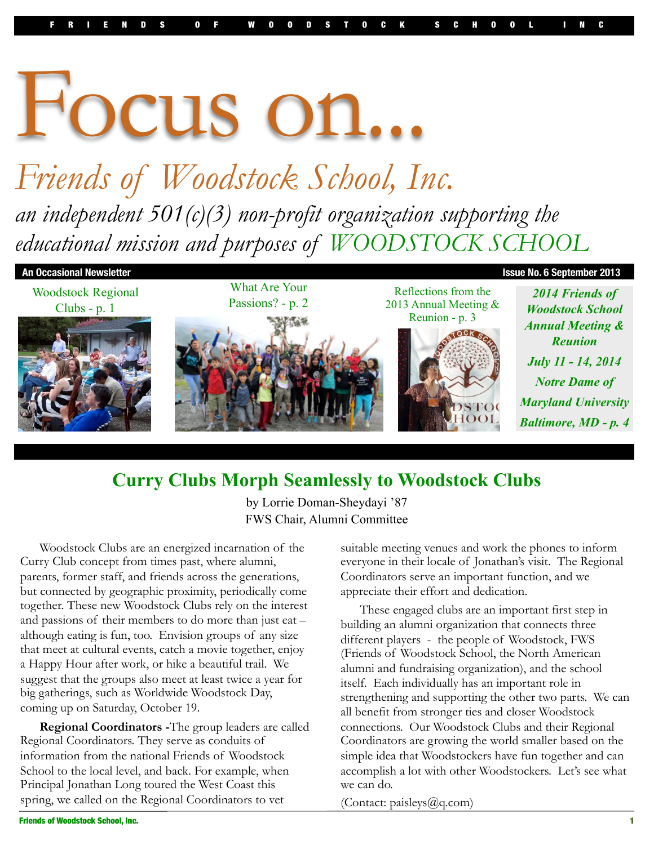# Focus on...

# *Friends of Woodstock School, Inc. an independent 501(c)(3) non-profit organization supporting the educational mission and purposes of WOODSTOCK SCHOOL*



## **Curry Clubs Morph Seamlessly to Woodstock Clubs**

by Lorrie Doman-Sheydayi '87 FWS Chair, Alumni Committee

Woodstock Clubs are an energized incarnation of the Curry Club concept from times past, where alumni, parents, former staff, and friends across the generations, but connected by geographic proximity, periodically come together. These new Woodstock Clubs rely on the interest and passions of their members to do more than just eat – although eating is fun, too. Envision groups of any size that meet at cultural events, catch a movie together, enjoy a Happy Hour after work, or hike a beautiful trail. We suggest that the groups also meet at least twice a year for big gatherings, such as Worldwide Woodstock Day, coming up on Saturday, October 19.

**Regional Coordinators -**The group leaders are called Regional Coordinators. They serve as conduits of information from the national Friends of Woodstock School to the local level, and back. For example, when Principal Jonathan Long toured the West Coast this spring, we called on the Regional Coordinators to vet

suitable meeting venues and work the phones to inform everyone in their locale of Jonathan's visit. The Regional Coordinators serve an important function, and we appreciate their effort and dedication.

These engaged clubs are an important first step in building an alumni organization that connects three different players - the people of Woodstock, FWS (Friends of Woodstock School, the North American alumni and fundraising organization), and the school itself. Each individually has an important role in strengthening and supporting the other two parts. We can all benefit from stronger ties and closer Woodstock connections. Our Woodstock Clubs and their Regional Coordinators are growing the world smaller based on the simple idea that Woodstockers have fun together and can accomplish a lot with other Woodstockers. Let's see what we can do.

(Contact: paisleys@q.com)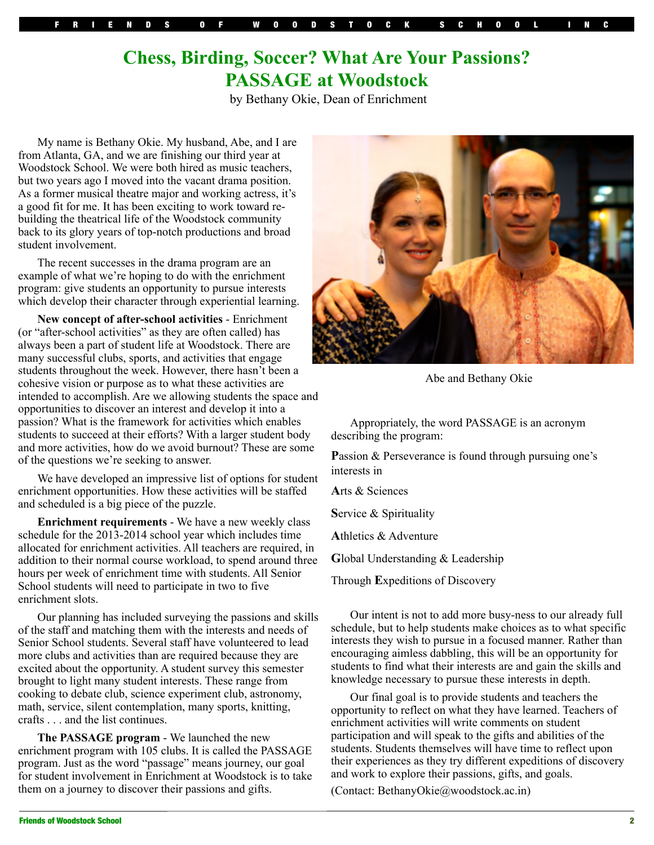# **Chess, Birding, Soccer? What Are Your Passions? PASSAGE at Woodstock**

by Bethany Okie, Dean of Enrichment

My name is Bethany Okie. My husband, Abe, and I are from Atlanta, GA, and we are finishing our third year at Woodstock School. We were both hired as music teachers, but two years ago I moved into the vacant drama position. As a former musical theatre major and working actress, it's a good fit for me. It has been exciting to work toward rebuilding the theatrical life of the Woodstock community back to its glory years of top-notch productions and broad student involvement.

The recent successes in the drama program are an example of what we're hoping to do with the enrichment program: give students an opportunity to pursue interests which develop their character through experiential learning.

**New concept of after-school activities** - Enrichment (or "after-school activities" as they are often called) has always been a part of student life at Woodstock. There are many successful clubs, sports, and activities that engage students throughout the week. However, there hasn't been a cohesive vision or purpose as to what these activities are intended to accomplish. Are we allowing students the space and opportunities to discover an interest and develop it into a passion? What is the framework for activities which enables students to succeed at their efforts? With a larger student body and more activities, how do we avoid burnout? These are some of the questions we're seeking to answer.

We have developed an impressive list of options for student enrichment opportunities. How these activities will be staffed and scheduled is a big piece of the puzzle.

**Enrichment requirements** - We have a new weekly class schedule for the 2013-2014 school year which includes time allocated for enrichment activities. All teachers are required, in addition to their normal course workload, to spend around three hours per week of enrichment time with students. All Senior School students will need to participate in two to five enrichment slots.

Our planning has included surveying the passions and skills of the staff and matching them with the interests and needs of Senior School students. Several staff have volunteered to lead more clubs and activities than are required because they are excited about the opportunity. A student survey this semester brought to light many student interests. These range from cooking to debate club, science experiment club, astronomy, math, service, silent contemplation, many sports, knitting, crafts . . . and the list continues.

**The PASSAGE program** - We launched the new enrichment program with 105 clubs. It is called the PASSAGE program. Just as the word "passage" means journey, our goal for student involvement in Enrichment at Woodstock is to take them on a journey to discover their passions and gifts.



Abe and Bethany Okie

Appropriately, the word PASSAGE is an acronym describing the program:

**P**assion & Perseverance is found through pursuing one's interests in

**A**rts & Sciences

**S**ervice & Spirituality

**A**thletics & Adventure

**G**lobal Understanding & Leadership

Through **E**xpeditions of Discovery

Our intent is not to add more busy-ness to our already full schedule, but to help students make choices as to what specific interests they wish to pursue in a focused manner. Rather than encouraging aimless dabbling, this will be an opportunity for students to find what their interests are and gain the skills and knowledge necessary to pursue these interests in depth.

Our final goal is to provide students and teachers the opportunity to reflect on what they have learned. Teachers of enrichment activities will write comments on student participation and will speak to the gifts and abilities of the students. Students themselves will have time to reflect upon their experiences as they try different expeditions of discovery and work to explore their passions, gifts, and goals.

(Contact: BethanyOkie@woodstock.ac.in)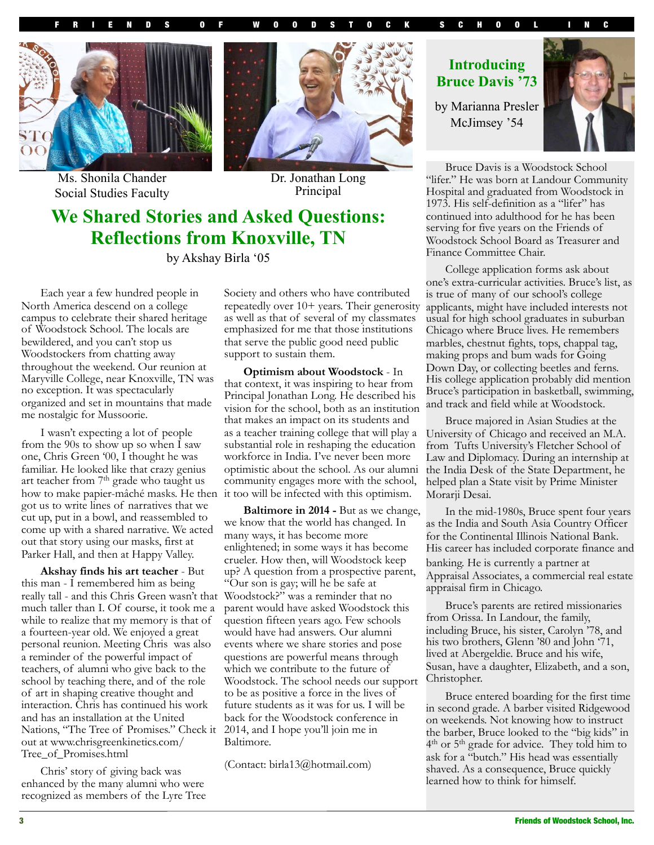





Ms. Shonila Chander Social Studies Faculty

Dr. Jonathan Long Principal

# **We Shared Stories and Asked Questions: Reflections from Knoxville, TN**

by Akshay Birla '05

Each year a few hundred people in North America descend on a college campus to celebrate their shared heritage of Woodstock School. The locals are bewildered, and you can't stop us Woodstockers from chatting away throughout the weekend. Our reunion at Maryville College, near Knoxville, TN was no exception. It was spectacularly organized and set in mountains that made me nostalgic for Mussoorie.

I wasn't expecting a lot of people from the 90s to show up so when  $\hat{I}$  saw one, Chris Green '00, I thought he was familiar. He looked like that crazy genius art teacher from 7<sup>th</sup> grade who taught us how to make papier-mâché masks. He then it too will be infected with this optimism. got us to write lines of narratives that we cut up, put in a bowl, and reassembled to come up with a shared narrative. We acted out that story using our masks, first at Parker Hall, and then at Happy Valley.

**Akshay finds his art teacher** - But this man - I remembered him as being really tall - and this Chris Green wasn't that much taller than I. Of course, it took me a while to realize that my memory is that of a fourteen-year old. We enjoyed a great personal reunion. Meeting Chris was also a reminder of the powerful impact of teachers, of alumni who give back to the school by teaching there, and of the role of art in shaping creative thought and interaction. Chris has continued his work and has an installation at the United Nations, "The Tree of Promises." Check it out at www.chrisgreenkinetics.com/ Tree\_of\_Promises.html

Chris' story of giving back was enhanced by the many alumni who were recognized as members of the Lyre Tree Society and others who have contributed repeatedly over 10+ years. Their generosity as well as that of several of my classmates emphasized for me that those institutions that serve the public good need public support to sustain them.

**Optimism about Woodstock** - In that context, it was inspiring to hear from Principal Jonathan Long. He described his vision for the school, both as an institution that makes an impact on its students and as a teacher training college that will play a substantial role in reshaping the education workforce in India. I've never been more optimistic about the school. As our alumni community engages more with the school,

**Baltimore in 2014 -** But as we change, we know that the world has changed. In many ways, it has become more enlightened; in some ways it has become crueler. How then, will Woodstock keep up? A question from a prospective parent, "Our son is gay; will he be safe at Woodstock?" was a reminder that no parent would have asked Woodstock this question fifteen years ago. Few schools would have had answers. Our alumni events where we share stories and pose questions are powerful means through which we contribute to the future of Woodstock. The school needs our support to be as positive a force in the lives of future students as it was for us. I will be back for the Woodstock conference in 2014, and I hope you'll join me in Baltimore.

(Contact: birla13@hotmail.com)

#### **Introducing Bruce Davis '73**

by Marianna Presler McJimsey '54



Bruce Davis is a Woodstock School "lifer." He was born at Landour Community Hospital and graduated from Woodstock in 1973. His self-definition as a "lifer" has continued into adulthood for he has been serving for five years on the Friends of Woodstock School Board as Treasurer and Finance Committee Chair.

College application forms ask about one's extra-curricular activities. Bruce's list, as is true of many of our school's college applicants, might have included interests not usual for high school graduates in suburban Chicago where Bruce lives. He remembers marbles, chestnut fights, tops, chappal tag, making props and bum wads for Going Down Day, or collecting beetles and ferns. His college application probably did mention Bruce's participation in basketball, swimming, and track and field while at Woodstock.

Bruce majored in Asian Studies at the University of Chicago and received an M.A. from Tufts University's Fletcher School of Law and Diplomacy. During an internship at the India Desk of the State Department, he helped plan a State visit by Prime Minister Morarji Desai.

In the mid-1980s, Bruce spent four years as the India and South Asia Country Officer for the Continental Illinois National Bank. His career has included corporate finance and banking. He is currently a partner at Appraisal Associates, a commercial real estate appraisal firm in Chicago.

Bruce's parents are retired missionaries from Orissa. In Landour, the family, including Bruce, his sister, Carolyn '78, and his two brothers, Glenn '80 and John '71, lived at Abergeldie. Bruce and his wife, Susan, have a daughter, Elizabeth, and a son, Christopher.

Bruce entered boarding for the first time in second grade. A barber visited Ridgewood on weekends. Not knowing how to instruct the barber, Bruce looked to the "big kids" in 4<sup>th</sup> or 5<sup>th</sup> grade for advice. They told him to ask for a "butch." His head was essentially shaved. As a consequence, Bruce quickly learned how to think for himself.